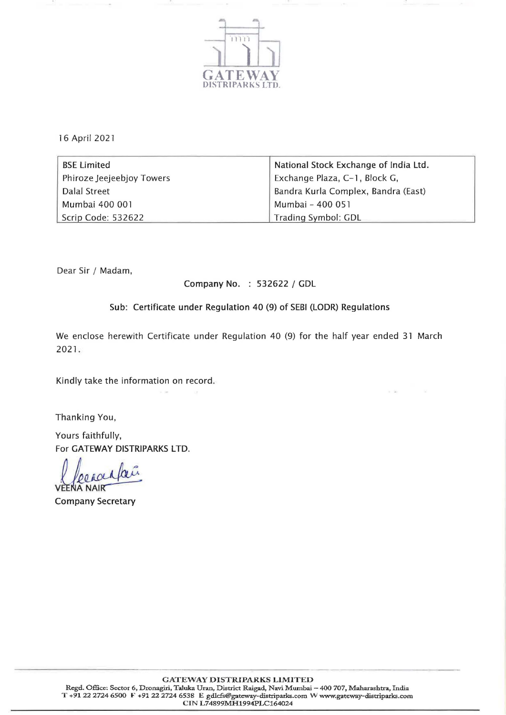

16 April 2021

| BSE Limited               | National Stock Exchange of India Ltd. |
|---------------------------|---------------------------------------|
| Phiroze Jeejeebjoy Towers | Exchange Plaza, C-1, Block G,         |
| Dalal Street              | Bandra Kurla Complex, Bandra (East)   |
| Mumbai 400 001            | Mumbai - 400 051                      |
| Scrip Code: 532622        | Trading Symbol: GDL                   |

Dear Sir / Madam,

Company No. : 532622 / GDL

Sub: Certificate under Regulation 40 (9) of SEBI (LODR) Regulations

We enclose herewith Certificate under Regulation 40 (9) for the half year ended 31 March 2021 .

Kindly take the information on record.

Thanking You,

Yours faithfully, For GATEWAY DISTRIPARKS LTD.

lecracifaci eena nai rafaci

Company Secretary